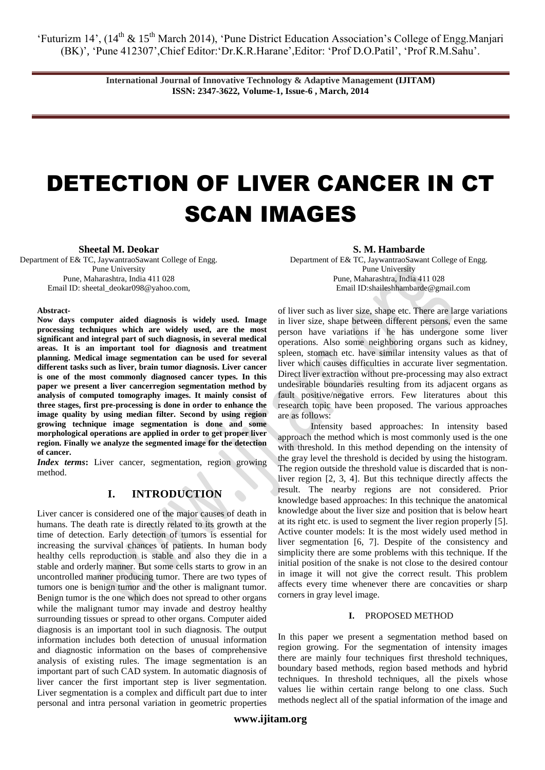'Futurizm 14', (14<sup>th</sup> & 15<sup>th</sup> March 2014), 'Pune District Education Association's College of Engg.Manjari (BK)", "Pune 412307",Chief Editor:"Dr.K.R.Harane",Editor: "Prof D.O.Patil", "Prof R.M.Sahu".

> **International Journal of Innovative Technology & Adaptive Management (IJITAM) ISSN: 2347-3622, Volume-1, Issue-6 , March, 2014**

# DETECTION OF LIVER CANCER IN CT SCAN IMAGES

**Sheetal M. Deokar**

Department of E& TC, JaywantraoSawant College of Engg. Pune University Pune, Maharashtra, India 411 028 Email ID: [sheetal\\_deokar098@yahoo.com,](mailto:sheetal_deokar098@yahoo.com)

#### **Abstract-**

**Now days computer aided diagnosis is widely used. Image processing techniques which are widely used, are the most significant and integral part of such diagnosis, in several medical areas. It is an important tool for diagnosis and treatment planning. Medical image segmentation can be used for several different tasks such as liver, brain tumor diagnosis. Liver cancer is one of the most commonly diagnosed cancer types. In this paper we present a liver cancerregion segmentation method by analysis of computed tomography images. It mainly consist of three stages, first pre-processing is done in order to enhance the image quality by using median filter. Second by using region growing technique image segmentation is done and some morphological operations are applied in order to get proper liver region. Finally we analyze the segmented image for the detection of cancer.**

*Index terms:* Liver cancer, segmentation, region growing method.

# **I. INTRODUCTION**

Liver cancer is considered one of the major causes of death in humans. The death rate is directly related to its growth at the time of detection. Early detection of tumors is essential for increasing the survival chances of patients. In human body healthy cells reproduction is stable and also they die in a stable and orderly manner. But some cells starts to grow in an uncontrolled manner producing tumor. There are two types of tumors one is benign tumor and the other is malignant tumor. Benign tumor is the one which does not spread to other organs while the malignant tumor may invade and destroy healthy surrounding tissues or spread to other organs. Computer aided diagnosis is an important tool in such diagnosis. The output information includes both detection of unusual information and diagnostic information on the bases of comprehensive analysis of existing rules. The image segmentation is an important part of such CAD system. In automatic diagnosis of liver cancer the first important step is liver segmentation. Liver segmentation is a complex and difficult part due to inter personal and intra personal variation in geometric properties

## **S. M. Hambarde**

Department of E& TC, JaywantraoSawant College of Engg. Pune University Pune, Maharashtra, India 411 028 Email ID[:shaileshhambarde@gmail.com](mailto:shaileshhambarde@gmail.com)

of liver such as liver size, shape etc. There are large variations in liver size, shape between different persons, even the same person have variations if he has undergone some liver operations. Also some neighboring organs such as kidney, spleen, stomach etc. have similar intensity values as that of liver which causes difficulties in accurate liver segmentation. Direct liver extraction without pre-processing may also extract undesirable boundaries resulting from its adjacent organs as fault positive/negative errors. Few literatures about this research topic have been proposed. The various approaches are as follows:

Intensity based approaches: In intensity based approach the method which is most commonly used is the one with threshold. In this method depending on the intensity of the gray level the threshold is decided by using the histogram. The region outside the threshold value is discarded that is nonliver region [2, 3, 4]. But this technique directly affects the result. The nearby regions are not considered. Prior knowledge based approaches: In this technique the anatomical knowledge about the liver size and position that is below heart at its right etc. is used to segment the liver region properly [5]. Active counter models: It is the most widely used method in liver segmentation [6, 7]. Despite of the consistency and simplicity there are some problems with this technique. If the initial position of the snake is not close to the desired contour in image it will not give the correct result. This problem affects every time whenever there are concavities or sharp corners in gray level image.

## **I.** PROPOSED METHOD

In this paper we present a segmentation method based on region growing. For the segmentation of intensity images there are mainly four techniques first threshold techniques, boundary based methods, region based methods and hybrid techniques. In threshold techniques, all the pixels whose values lie within certain range belong to one class. Such methods neglect all of the spatial information of the image and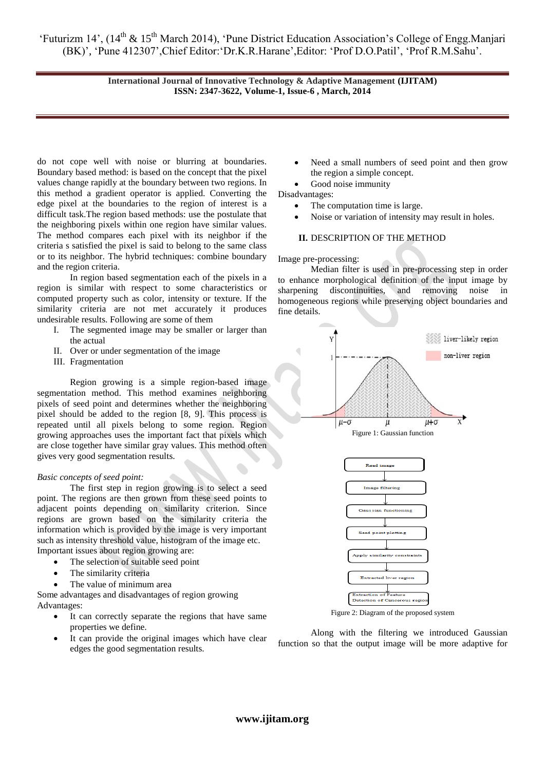'Futurizm 14', (14<sup>th</sup> & 15<sup>th</sup> March 2014), 'Pune District Education Association's College of Engg.Manjari (BK)', 'Pune 412307', Chief Editor: 'Dr.K.R.Harane', Editor: 'Prof D.O.Patil', 'Prof R.M.Sahu'.

> **International Journal of Innovative Technology & Adaptive Management (IJITAM) ISSN: 2347-3622, Volume-1, Issue-6 , March, 2014**

do not cope well with noise or blurring at boundaries. Boundary based method: is based on the concept that the pixel values change rapidly at the boundary between two regions. In this method a gradient operator is applied. Converting the edge pixel at the boundaries to the region of interest is a difficult task.The region based methods: use the postulate that the neighboring pixels within one region have similar values. The method compares each pixel with its neighbor if the criteria s satisfied the pixel is said to belong to the same class or to its neighbor. The hybrid techniques: combine boundary and the region criteria.

In region based segmentation each of the pixels in a region is similar with respect to some characteristics or computed property such as color, intensity or texture. If the similarity criteria are not met accurately it produces undesirable results. Following are some of them

- I. The segmented image may be smaller or larger than the actual
- II. Over or under segmentation of the image
- III. Fragmentation

Region growing is a simple region-based image segmentation method. This method examines neighboring pixels of seed point and determines whether the neighboring pixel should be added to the region [8, 9]. This process is repeated until all pixels belong to some region. Region growing approaches uses the important fact that pixels which are close together have similar gray values. This method often gives very good segmentation results.

# *Basic concepts of seed point:*

The first step in region growing is to select a seed point. The regions are then grown from these seed points to adjacent points depending on similarity criterion. Since regions are grown based on the similarity criteria the information which is provided by the image is very important such as intensity threshold value, histogram of the image etc. Important issues about region growing are:

- The selection of suitable seed point
	- The similarity criteria
- The value of minimum area

Some advantages and disadvantages of region growing Advantages:

- It can correctly separate the regions that have same properties we define.
- It can provide the original images which have clear edges the good segmentation results.
- Need a small numbers of seed point and then grow the region a simple concept.
- Good noise immunity

Disadvantages:

- The computation time is large.
- Noise or variation of intensity may result in holes.

# **II.** DESCRIPTION OF THE METHOD

### Image pre-processing:

Median filter is used in pre-processing step in order to enhance morphological definition of the input image by sharpening discontinuities, and removing noise in homogeneous regions while preserving object boundaries and fine details.



Figure 2: Diagram of the proposed system

Along with the filtering we introduced Gaussian function so that the output image will be more adaptive for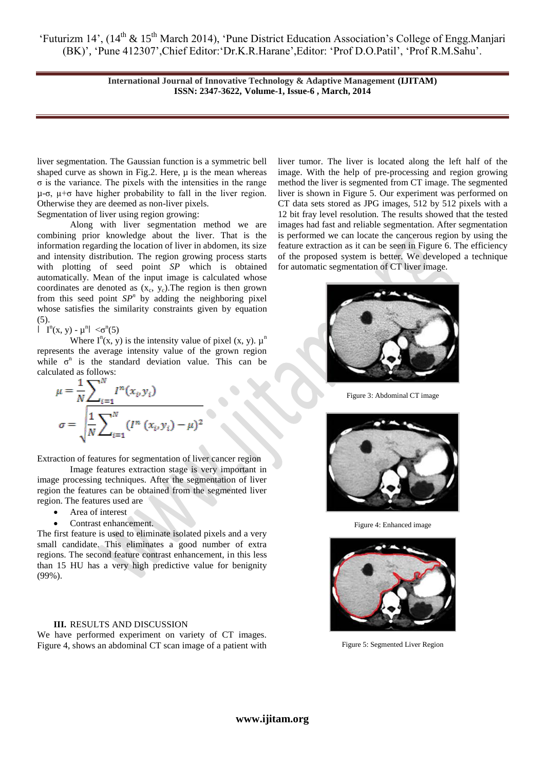'Futurizm 14', (14<sup>th</sup> & 15<sup>th</sup> March 2014), 'Pune District Education Association's College of Engg.Manjari (BK)', 'Pune 412307', Chief Editor: 'Dr.K.R.Harane', Editor: 'Prof D.O.Patil', 'Prof R.M.Sahu'.

> **International Journal of Innovative Technology & Adaptive Management (IJITAM) ISSN: 2347-3622, Volume-1, Issue-6 , March, 2014**

liver segmentation. The Gaussian function is a symmetric bell shaped curve as shown in Fig.2. Here,  $\mu$  is the mean whereas  $\sigma$  is the variance. The pixels with the intensities in the range  $\mu$ -σ,  $\mu$ +σ have higher probability to fall in the liver region. Otherwise they are deemed as non-liver pixels.

Segmentation of liver using region growing:

Along with liver segmentation method we are combining prior knowledge about the liver. That is the information regarding the location of liver in abdomen, its size and intensity distribution. The region growing process starts with plotting of seed point *SP* which is obtained automatically. Mean of the input image is calculated whose coordinates are denoted as  $(x_c, y_c)$ . The region is then grown from this seed point  $SP<sup>n</sup>$  by adding the neighboring pixel whose satisfies the similarity constraints given by equation (5).

 $|\mathbf{I}^n(x, y) - \mu^n| < \sigma^n(5)$ 

Where  $I^n(x, y)$  is the intensity value of pixel  $(x, y)$ .  $\mu^n$ represents the average intensity value of the grown region while  $\sigma^n$  is the standard deviation value. This can be calculated as follows:

$$
\mu = \frac{1}{N} \sum_{i=1}^{N} I^{n}(x_{i}, y_{i})
$$

$$
\sigma = \sqrt{\frac{1}{N} \sum_{i=1}^{N} (I^{n}(x_{i}, y_{i}) - \mu)^{2}}
$$

Extraction of features for segmentation of liver cancer region

Image features extraction stage is very important in image processing techniques. After the segmentation of liver region the features can be obtained from the segmented liver region. The features used are

- Area of interest
- Contrast enhancement.

The first feature is used to eliminate isolated pixels and a very small candidate. This eliminates a good number of extra regions. The second feature contrast enhancement, in this less than 15 HU has a very high predictive value for benignity (99%).

# **III.** RESULTS AND DISCUSSION

We have performed experiment on variety of CT images. Figure 4, shows an abdominal CT scan image of a patient with liver tumor. The liver is located along the left half of the image. With the help of pre-processing and region growing method the liver is segmented from CT image. The segmented liver is shown in Figure 5. Our experiment was performed on CT data sets stored as JPG images, 512 by 512 pixels with a 12 bit fray level resolution. The results showed that the tested images had fast and reliable segmentation. After segmentation is performed we can locate the cancerous region by using the feature extraction as it can be seen in Figure 6. The efficiency of the proposed system is better. We developed a technique for automatic segmentation of CT liver image.



Figure 3: Abdominal CT image



Figure 4: Enhanced image



Figure 5: Segmented Liver Region